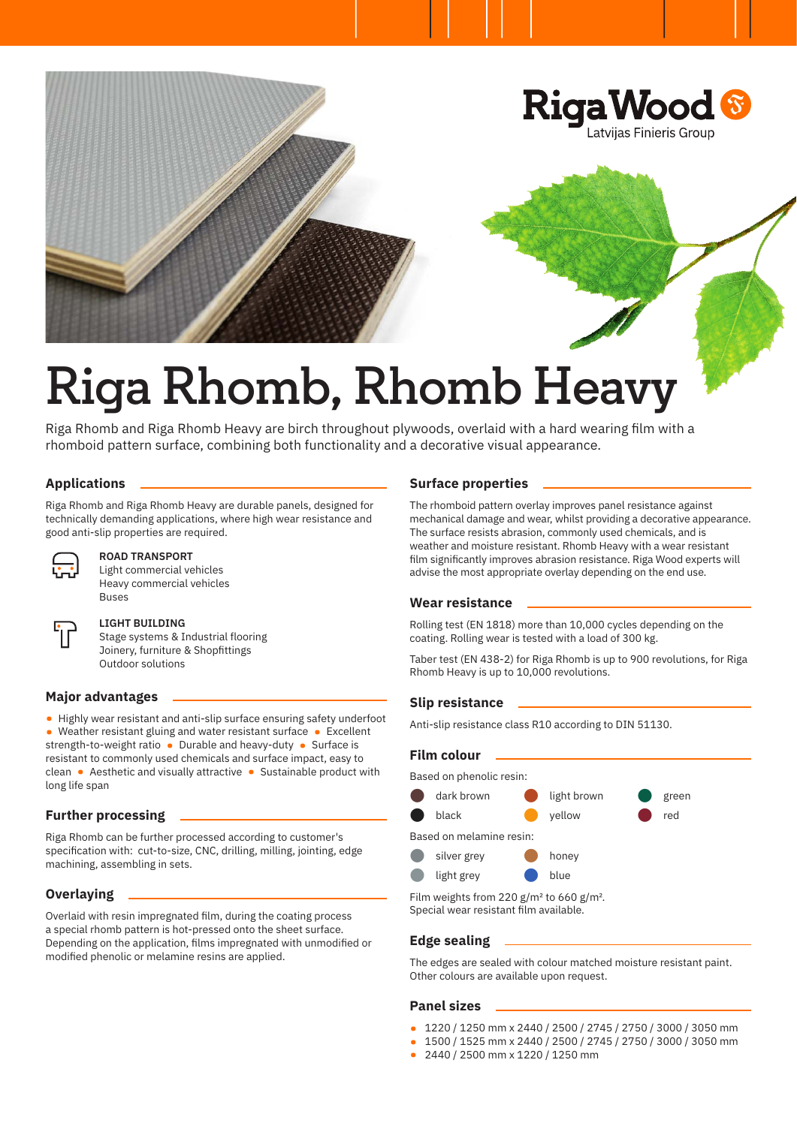

# **Riga Rhomb, Rhomb Heavy**

Riga Rhomb and Riga Rhomb Heavy are birch throughout plywoods, overlaid with a hard wearing film with a rhomboid pattern surface, combining both functionality and a decorative visual appearance.

# **Applications**

Riga Rhomb and Riga Rhomb Heavy are durable panels, designed for technically demanding applications, where high wear resistance and good anti-slip properties are required.



# **ROAD TRANSPORT**

Light commercial vehicles Heavy commercial vehicles Buses

#### **LIGHT BUILDING**

Stage systems & Industrial flooring Joinery, furniture & Shopfittings Outdoor solutions

#### **Major advantages**

• Highly wear resistant and anti-slip surface ensuring safety underfoot • Weather resistant gluing and water resistant surface • Excellent strength-to-weight ratio • Durable and heavy-duty • Surface is resistant to commonly used chemicals and surface impact, easy to clean • Aesthetic and visually attractive • Sustainable product with long life span

#### **Further processing**

Riga Rhomb can be further processed according to customer's specification with: cut-to-size, CNC, drilling, milling, jointing, edge machining, assembling in sets.

## **Overlaying**

Overlaid with resin impregnated film, during the coating process a special rhomb pattern is hot-pressed onto the sheet surface. Depending on the application, films impregnated with unmodified or modified phenolic or melamine resins are applied.

#### **Surface properties**

The rhomboid pattern overlay improves panel resistance against mechanical damage and wear, whilst providing a decorative appearance. The surface resists abrasion, commonly used chemicals, and is weather and moisture resistant. Rhomb Heavy with a wear resistant film significantly improves abrasion resistance. Riga Wood experts will advise the most appropriate overlay depending on the end use.

#### **Wear resistance**

Rolling test (EN 1818) more than 10,000 cycles depending on the coating. Rolling wear is tested with a load of 300 kg.

Taber test (EN 438-2) for Riga Rhomb is up to 900 revolutions, for Riga Rhomb Heavy is up to 10,000 revolutions.

#### **Slip resistance**

Anti-slip resistance class R10 according to DIN 51130.

| <b>Film colour</b>       |             |             |       |  |
|--------------------------|-------------|-------------|-------|--|
| Based on phenolic resin: |             |             |       |  |
|                          | dark brown  | light brown | green |  |
|                          | black       | vellow      | red   |  |
| Based on melamine resin: |             |             |       |  |
|                          | silver grey | honey       |       |  |
|                          | light grey  | blue        |       |  |
|                          |             |             |       |  |

Film weights from 220 g/m² to 660 g/m². Special wear resistant film available.

#### **Edge sealing**

The edges are sealed with colour matched moisture resistant paint. Other colours are available upon request.

#### **Panel sizes**

- 1220 / 1250 mm x 2440 / 2500 / 2745 / 2750 / 3000 / 3050 mm
- 1500 / 1525 mm x 2440 / 2500 / 2745 / 2750 / 3000 / 3050 mm
- 2440 / 2500 mm x 1220 / 1250 mm